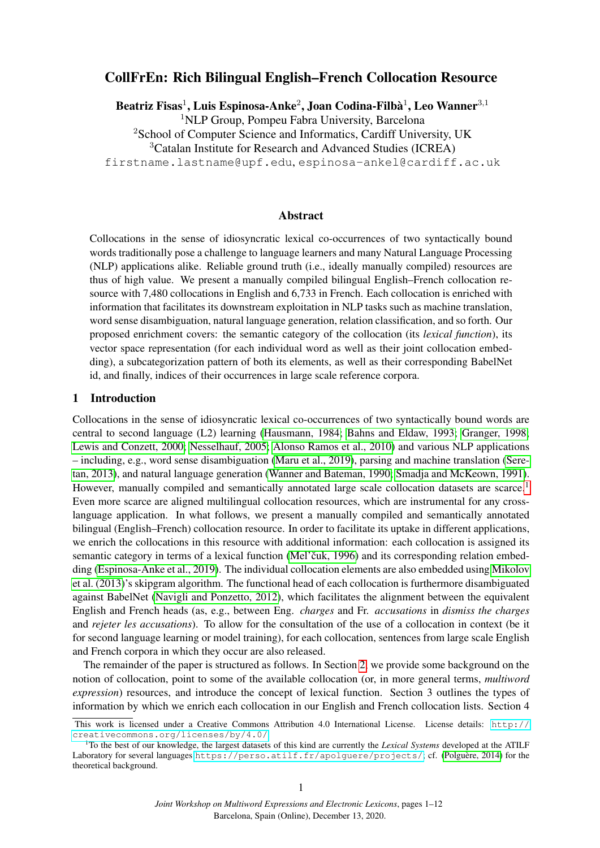# CollFrEn: Rich Bilingual English–French Collocation Resource

Beatriz Fisas $^1$ , Luis Espinosa-Anke $^2$ , Joan Codina-Filbà $^1$ , Leo Wanner $^{3,1}$ <sup>1</sup>NLP Group, Pompeu Fabra University, Barcelona <sup>2</sup>School of Computer Science and Informatics, Cardiff University, UK <sup>3</sup>Catalan Institute for Research and Advanced Studies (ICREA) firstname.lastname@upf.edu, espinosa-ankel@cardiff.ac.uk

## Abstract

Collocations in the sense of idiosyncratic lexical co-occurrences of two syntactically bound words traditionally pose a challenge to language learners and many Natural Language Processing (NLP) applications alike. Reliable ground truth (i.e., ideally manually compiled) resources are thus of high value. We present a manually compiled bilingual English–French collocation resource with 7,480 collocations in English and 6,733 in French. Each collocation is enriched with information that facilitates its downstream exploitation in NLP tasks such as machine translation, word sense disambiguation, natural language generation, relation classification, and so forth. Our proposed enrichment covers: the semantic category of the collocation (its *lexical function*), its vector space representation (for each individual word as well as their joint collocation embedding), a subcategorization pattern of both its elements, as well as their corresponding BabelNet id, and finally, indices of their occurrences in large scale reference corpora.

#### 1 Introduction

Collocations in the sense of idiosyncratic lexical co-occurrences of two syntactically bound words are central to second language (L2) learning [\(Hausmann, 1984;](#page-9-0) [Bahns and Eldaw, 1993;](#page-9-1) [Granger, 1998;](#page-9-2) [Lewis and Conzett, 2000;](#page-10-0) [Nesselhauf, 2005;](#page-10-1) [Alonso Ramos et al., 2010\)](#page-9-3) and various NLP applications – including, e.g., word sense disambiguation [\(Maru et al., 2019\)](#page-10-2), parsing and machine translation [\(Sere](#page-10-3)[tan, 2013\)](#page-10-3), and natural language generation [\(Wanner and Bateman, 1990;](#page-11-0) [Smadja and McKeown, 1991\)](#page-10-4). However, manually compiled and semantically annotated large scale collocation datasets are scarce.<sup>[1](#page-0-0)</sup> Even more scarce are aligned multilingual collocation resources, which are instrumental for any crosslanguage application. In what follows, we present a manually compiled and semantically annotated bilingual (English–French) collocation resource. In order to facilitate its uptake in different applications, we enrich the collocations in this resource with additional information: each collocation is assigned its semantic category in terms of a lexical function (Mel'čuk, 1996) and its corresponding relation embedding [\(Espinosa-Anke et al., 2019\)](#page-9-4). The individual collocation elements are also embedded using [Mikolov](#page-10-6) [et al. \(2013\)](#page-10-6)'s skipgram algorithm. The functional head of each collocation is furthermore disambiguated against BabelNet [\(Navigli and Ponzetto, 2012\)](#page-10-7), which facilitates the alignment between the equivalent English and French heads (as, e.g., between Eng. *charges* and Fr. *accusations* in *dismiss the charges* and *rejeter les accusations*). To allow for the consultation of the use of a collocation in context (be it for second language learning or model training), for each collocation, sentences from large scale English and French corpora in which they occur are also released.

The remainder of the paper is structured as follows. In Section [2,](#page-1-0) we provide some background on the notion of collocation, point to some of the available collocation (or, in more general terms, *multiword expression*) resources, and introduce the concept of lexical function. Section 3 outlines the types of information by which we enrich each collocation in our English and French collocation lists. Section 4

This work is licensed under a Creative Commons Attribution 4.0 International License. License details: [http://](http://creativecommons.org/licenses/by/4.0/) [creativecommons.org/licenses/by/4.0/](http://creativecommons.org/licenses/by/4.0/).

<span id="page-0-0"></span><sup>1</sup>To the best of our knowledge, the largest datasets of this kind are currently the *Lexical Systems* developed at the ATILF Laboratory for several languages <https://perso.atilf.fr/apolguere/projects/>; cf. (Polguère, 2014) for the theoretical background.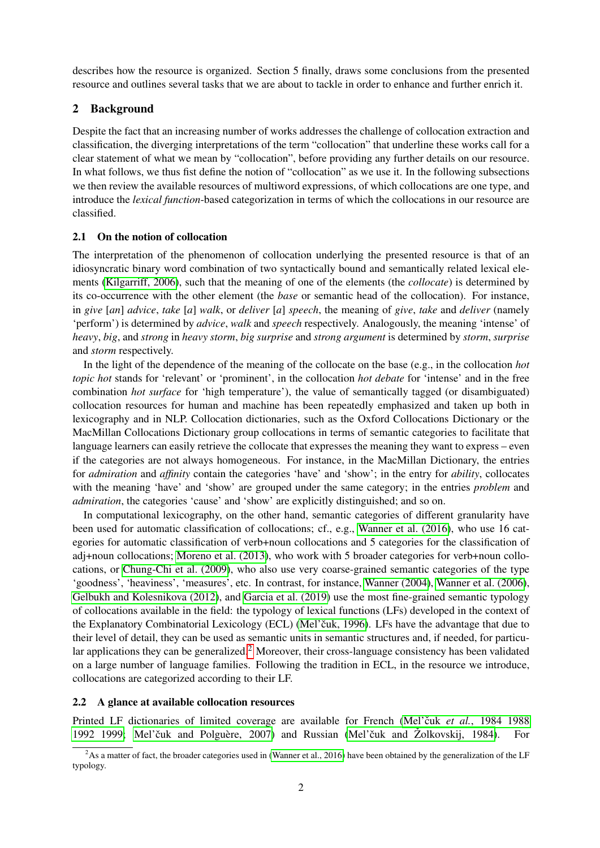describes how the resource is organized. Section 5 finally, draws some conclusions from the presented resource and outlines several tasks that we are about to tackle in order to enhance and further enrich it.

## <span id="page-1-0"></span>2 Background

Despite the fact that an increasing number of works addresses the challenge of collocation extraction and classification, the diverging interpretations of the term "collocation" that underline these works call for a clear statement of what we mean by "collocation", before providing any further details on our resource. In what follows, we thus fist define the notion of "collocation" as we use it. In the following subsections we then review the available resources of multiword expressions, of which collocations are one type, and introduce the *lexical function*-based categorization in terms of which the collocations in our resource are classified.

### 2.1 On the notion of collocation

The interpretation of the phenomenon of collocation underlying the presented resource is that of an idiosyncratic binary word combination of two syntactically bound and semantically related lexical elements [\(Kilgarriff, 2006\)](#page-10-9), such that the meaning of one of the elements (the *collocate*) is determined by its co-occurrence with the other element (the *base* or semantic head of the collocation). For instance, in *give* [*an*] *advice*, *take* [*a*] *walk*, or *deliver* [*a*] *speech*, the meaning of *give*, *take* and *deliver* (namely 'perform') is determined by *advice*, *walk* and *speech* respectively. Analogously, the meaning 'intense' of *heavy*, *big*, and *strong* in *heavy storm*, *big surprise* and *strong argument* is determined by *storm*, *surprise* and *storm* respectively.

In the light of the dependence of the meaning of the collocate on the base (e.g., in the collocation *hot topic hot* stands for 'relevant' or 'prominent', in the collocation *hot debate* for 'intense' and in the free combination *hot surface* for 'high temperature'), the value of semantically tagged (or disambiguated) collocation resources for human and machine has been repeatedly emphasized and taken up both in lexicography and in NLP. Collocation dictionaries, such as the Oxford Collocations Dictionary or the MacMillan Collocations Dictionary group collocations in terms of semantic categories to facilitate that language learners can easily retrieve the collocate that expresses the meaning they want to express – even if the categories are not always homogeneous. For instance, in the MacMillan Dictionary, the entries for *admiration* and *affinity* contain the categories 'have' and 'show'; in the entry for *ability*, collocates with the meaning 'have' and 'show' are grouped under the same category; in the entries *problem* and *admiration*, the categories 'cause' and 'show' are explicitly distinguished; and so on.

In computational lexicography, on the other hand, semantic categories of different granularity have been used for automatic classification of collocations; cf., e.g., [Wanner et al. \(2016\)](#page-11-1), who use 16 categories for automatic classification of verb+noun collocations and 5 categories for the classification of adj+noun collocations; [Moreno et al. \(2013\)](#page-10-10), who work with 5 broader categories for verb+noun collocations, or [Chung-Chi et al. \(2009\)](#page-9-5), who also use very coarse-grained semantic categories of the type 'goodness', 'heaviness', 'measures', etc. In contrast, for instance, [Wanner \(2004\)](#page-11-2), [Wanner et al. \(2006\)](#page-11-3), [Gelbukh and Kolesnikova \(2012\)](#page-9-6), and [Garcia et al. \(2019\)](#page-9-7) use the most fine-grained semantic typology of collocations available in the field: the typology of lexical functions (LFs) developed in the context of the Explanatory Combinatorial Lexicology (ECL) (Mel'čuk, 1996). LFs have the advantage that due to their level of detail, they can be used as semantic units in semantic structures and, if needed, for particu-lar applications they can be generalized.<sup>[2](#page-1-1)</sup> Moreover, their cross-language consistency has been validated on a large number of language families. Following the tradition in ECL, in the resource we introduce, collocations are categorized according to their LF.

#### 2.2 A glance at available collocation resources

Printed LF dictionaries of limited coverage are available for French (Mel'čuk et al.[, 1984 1988](#page-10-11) [1992 1999;](#page-10-11) Mel'čuk and Polguère, 2007) and Russian (Mel'čuk and Žolkovskij, 1984).

<span id="page-1-1"></span> ${}^{2}$ As a matter of fact, the broader categories used in [\(Wanner et al., 2016\)](#page-11-1) have been obtained by the generalization of the LF typology.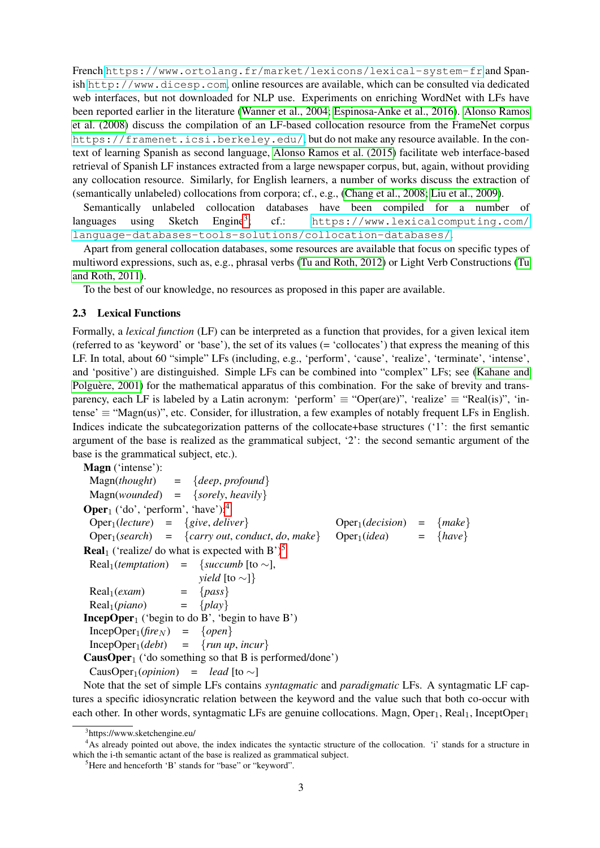French <https://www.ortolang.fr/market/lexicons/lexical-system-fr> and Spanish <http://www.dicesp.com>, online resources are available, which can be consulted via dedicated web interfaces, but not downloaded for NLP use. Experiments on enriching WordNet with LFs have been reported earlier in the literature [\(Wanner et al., 2004;](#page-11-4) [Espinosa-Anke et al., 2016\)](#page-9-8). [Alonso Ramos](#page-9-9) [et al. \(2008\)](#page-9-9) discuss the compilation of an LF-based collocation resource from the FrameNet corpus <https://framenet.icsi.berkeley.edu/>, but do not make any resource available. In the context of learning Spanish as second language, [Alonso Ramos et al. \(2015\)](#page-9-10) facilitate web interface-based retrieval of Spanish LF instances extracted from a large newspaper corpus, but, again, without providing any collocation resource. Similarly, for English learners, a number of works discuss the extraction of (semantically unlabeled) collocations from corpora; cf., e.g., [\(Chang et al., 2008;](#page-9-11) [Liu et al., 2009\)](#page-10-14).

Semantically unlabeled collocation databases have been compiled for a number of languages using Sketch Engine<sup>[3](#page-2-0)</sup>; ; cf.: [https://www.lexicalcomputing.com/](https://www.lexicalcomputing.com/language-databases-tools-solutions/collocation-databases/) [language-databases-tools-solutions/collocation-databases/](https://www.lexicalcomputing.com/language-databases-tools-solutions/collocation-databases/).

Apart from general collocation databases, some resources are available that focus on specific types of multiword expressions, such as, e.g., phrasal verbs [\(Tu and Roth, 2012\)](#page-10-15) or Light Verb Constructions [\(Tu](#page-10-16) [and Roth, 2011\)](#page-10-16).

To the best of our knowledge, no resources as proposed in this paper are available.

#### <span id="page-2-3"></span>2.3 Lexical Functions

Formally, a *lexical function* (LF) can be interpreted as a function that provides, for a given lexical item (referred to as 'keyword' or 'base'), the set of its values (= 'collocates') that express the meaning of this LF. In total, about 60 "simple" LFs (including, e.g., 'perform', 'cause', 'realize', 'terminate', 'intense', and 'positive') are distinguished. Simple LFs can be combined into "complex" LFs; see [\(Kahane and](#page-9-12) Polguère, 2001) for the mathematical apparatus of this combination. For the sake of brevity and transparency, each LF is labeled by a Latin acronym: 'perform'  $\equiv$  "Oper(are)", 'realize'  $\equiv$  "Real(is)", 'intense'  $\equiv$  "Magn(us)", etc. Consider, for illustration, a few examples of notably frequent LFs in English. Indices indicate the subcategorization patterns of the collocate+base structures ('1': the first semantic argument of the base is realized as the grammatical subject, '2': the second semantic argument of the base is the grammatical subject, etc.).

Magn ('intense'): Magn(*thought*) = {*deep*, *profound*} Magn(*wounded*) = {*sorely*, *heavily*} **Oper**<sub>1</sub> ('do', 'perform', 'have'):<sup>[4](#page-2-1)</sup>  $Oper_1(*lecture*) = {give, deliver}$  $\text{Oper}_1(\text{search}) = {\text{~(carry out, conduct, do, make)}}$  $Oper_1(decision) = \{make\}$  $\text{Oper}_1(\text{idea}) = \{\text{have}\}$ **Real** ('realize/ do what is expected with  $B'$ )<sup>[5](#page-2-2)</sup>  $Real<sub>1</sub>(*temptation*) = {*succumb* [to ~],}$ *yield* [to ∼]}  $Real_1(exam)$  = {*pass*}  $Real_1(piano)$  = {*play*} **IncepOper**<sub>1</sub> ('begin to do B', 'begin to have B')  $IncepOper<sub>1</sub>(fire<sub>N</sub>) = {open}$  $IncepOper<sub>1</sub>(debt) = {run up, incur}$ **CausOper**<sub>1</sub> ('do something so that B is performed/done') CausOper<sub>1</sub>(*opinion*) = *lead* [to ∼]

Note that the set of simple LFs contains *syntagmatic* and *paradigmatic* LFs. A syntagmatic LF captures a specific idiosyncratic relation between the keyword and the value such that both co-occur with each other. In other words, syntagmatic LFs are genuine collocations. Magn,  $Oper_1$ , Real<sub>1</sub>, InceptOper<sub>1</sub>

<span id="page-2-1"></span><span id="page-2-0"></span><sup>3</sup> https://www.sketchengine.eu/

<sup>&</sup>lt;sup>4</sup>As already pointed out above, the index indicates the syntactic structure of the collocation. 'i' stands for a structure in which the i-th semantic actant of the base is realized as grammatical subject.

<span id="page-2-2"></span><sup>5</sup>Here and henceforth 'B' stands for "base" or "keyword".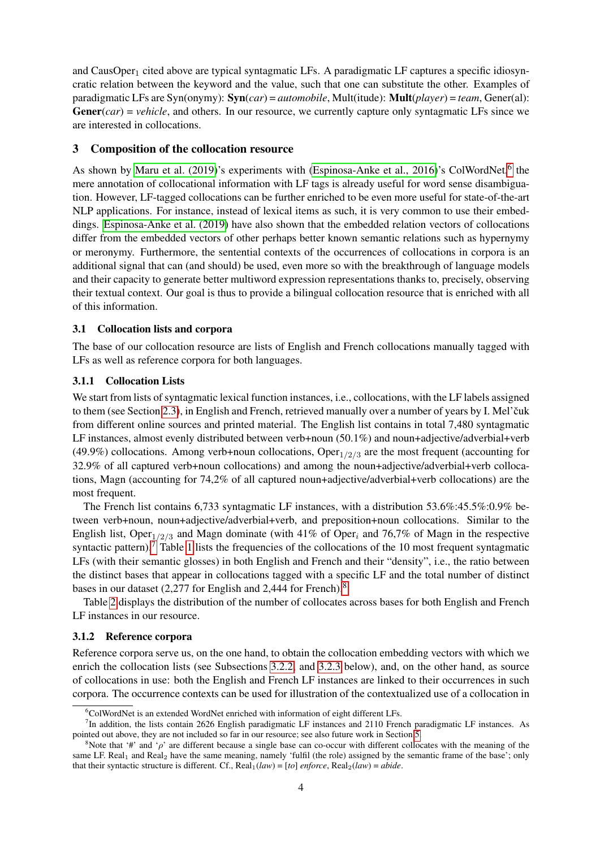and CausOper<sub>1</sub> cited above are typical syntagmatic LFs. A paradigmatic LF captures a specific idiosyncratic relation between the keyword and the value, such that one can substitute the other. Examples of paradigmatic LFs are Syn(onymy): Syn(*car*) = *automobile*, Mult(itude): Mult(*player*) = *team*, Gener(al): **, and others. In our resource, we currently capture only syntagmatic LFs since we** are interested in collocations.

#### 3 Composition of the collocation resource

As shown by [Maru et al. \(2019\)](#page-10-2)'s experiments with [\(Espinosa-Anke et al., 2016\)](#page-9-8)'s ColWordNet,<sup>[6](#page-3-0)</sup> the mere annotation of collocational information with LF tags is already useful for word sense disambiguation. However, LF-tagged collocations can be further enriched to be even more useful for state-of-the-art NLP applications. For instance, instead of lexical items as such, it is very common to use their embeddings. [Espinosa-Anke et al. \(2019\)](#page-9-4) have also shown that the embedded relation vectors of collocations differ from the embedded vectors of other perhaps better known semantic relations such as hypernymy or meronymy. Furthermore, the sentential contexts of the occurrences of collocations in corpora is an additional signal that can (and should) be used, even more so with the breakthrough of language models and their capacity to generate better multiword expression representations thanks to, precisely, observing their textual context. Our goal is thus to provide a bilingual collocation resource that is enriched with all of this information.

#### 3.1 Collocation lists and corpora

The base of our collocation resource are lists of English and French collocations manually tagged with LFs as well as reference corpora for both languages.

#### 3.1.1 Collocation Lists

We start from lists of syntagmatic lexical function instances, i.e., collocations, with the LF labels assigned to them (see Section [2.3\)](#page-2-3), in English and French, retrieved manually over a number of years by I. Mel'čuk from different online sources and printed material. The English list contains in total 7,480 syntagmatic LF instances, almost evenly distributed between verb+noun (50.1%) and noun+adjective/adverbial+verb (49.9%) collocations. Among verb+noun collocations,  $\text{Oper}_{1/2/3}$  are the most frequent (accounting for 32.9% of all captured verb+noun collocations) and among the noun+adjective/adverbial+verb collocations, Magn (accounting for 74,2% of all captured noun+adjective/adverbial+verb collocations) are the most frequent.

The French list contains 6,733 syntagmatic LF instances, with a distribution 53.6%:45.5%:0.9% between verb+noun, noun+adjective/adverbial+verb, and preposition+noun collocations. Similar to the English list, Oper<sub>1/2/3</sub> and Magn dominate (with 41% of Oper<sub>i</sub> and 76,7% of Magn in the respective syntactic pattern).<sup>[7](#page-3-1)</sup> Table [1](#page-4-0) lists the frequencies of the collocations of the 10 most frequent syntagmatic LFs (with their semantic glosses) in both English and French and their "density", i.e., the ratio between the distinct bases that appear in collocations tagged with a specific LF and the total number of distinct bases in our dataset (2,277 for English and 2,444 for French).<sup>[8](#page-3-2)</sup>

Table [2](#page-4-1) displays the distribution of the number of collocates across bases for both English and French LF instances in our resource.

#### 3.1.2 Reference corpora

Reference corpora serve us, on the one hand, to obtain the collocation embedding vectors with which we enrich the collocation lists (see Subsections [3.2.2,](#page-5-0) and [3.2.3](#page-5-1) below), and, on the other hand, as source of collocations in use: both the English and French LF instances are linked to their occurrences in such corpora. The occurrence contexts can be used for illustration of the contextualized use of a collocation in

<span id="page-3-1"></span><span id="page-3-0"></span> $6$ ColWordNet is an extended WordNet enriched with information of eight different LFs.

<sup>&</sup>lt;sup>7</sup>In addition, the lists contain 2626 English paradigmatic LF instances and 2110 French paradigmatic LF instances. As pointed out above, they are not included so far in our resource; see also future work in Section [5.](#page-8-0)

<span id="page-3-2"></span><sup>&</sup>lt;sup>8</sup>Note that '#' and ' $\rho$ ' are different because a single base can co-occur with different collocates with the meaning of the same LF. Real<sub>1</sub> and Real<sub>2</sub> have the same meaning, namely 'fulfil (the role) assigned by the semantic frame of the base'; only that their syntactic structure is different. Cf.,  $Real_1(law) = [to]$  *enforce*,  $Real_2(law) = abide$ .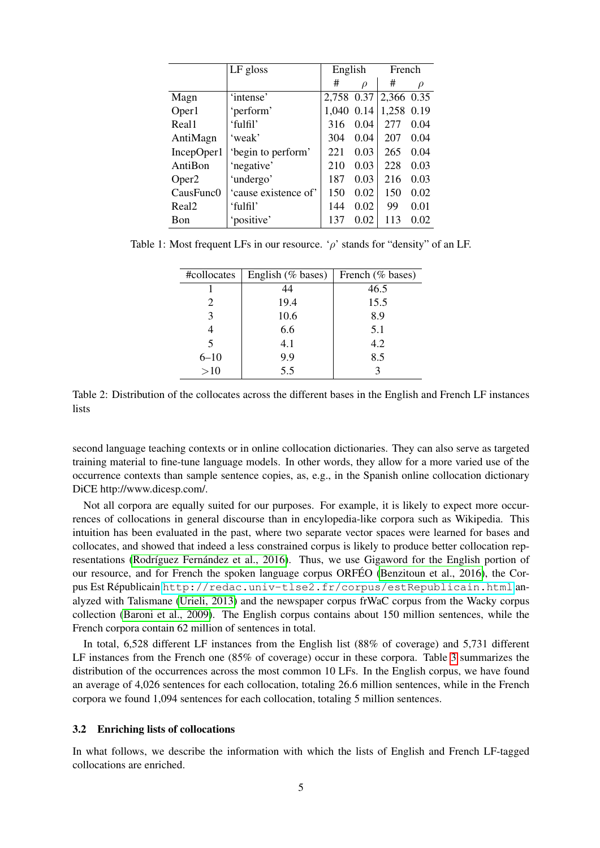<span id="page-4-0"></span>

|                   | LF gloss             | English    |        | French     |      |
|-------------------|----------------------|------------|--------|------------|------|
|                   |                      | #          | $\rho$ | #          | ρ    |
| Magn              | 'intense'            | 2,758 0.37 |        | 2,366 0.35 |      |
| Oper1             | 'perform'            | 1,040      | 0.14   | 1,258 0.19 |      |
| Real1             | 'fulfil'             | 316        | 0.04   | 277        | 0.04 |
| AntiMagn          | 'weak'               | 304        | 0.04   | 207        | 0.04 |
| IncepOper1        | 'begin to perform'   | 221        | 0.03   | 265        | 0.04 |
| AntiBon           | 'negative'           | 210        | 0.03   | 228        | 0.03 |
| Oper <sub>2</sub> | 'undergo'            | 187        | 0.03   | 216        | 0.03 |
| CausFunc0         | 'cause existence of' | 150        | 0.02   | 150        | 0.02 |
| Real <sub>2</sub> | 'fulfil'             | 144        | 0.02   | 99         | 0.01 |
| Bon               | 'positive'           | 137        | 0.02   | 113        | 0.02 |

<span id="page-4-1"></span>Table 1: Most frequent LFs in our resource. ' $\rho$ ' stands for "density" of an LF.

| #collocates                 | English (% bases) | French (% bases) |
|-----------------------------|-------------------|------------------|
|                             | 44                | 46.5             |
| $\mathcal{D}_{\mathcal{L}}$ | 19.4              | 15.5             |
| 3                           | 10.6              | 8.9              |
|                             | 6.6               | 5.1              |
| $\overline{\mathbf{5}}$     | 4.1               | 4.2              |
| $6 - 10$                    | 9.9               | 8.5              |
| >10                         | 5.5               |                  |

Table 2: Distribution of the collocates across the different bases in the English and French LF instances lists

second language teaching contexts or in online collocation dictionaries. They can also serve as targeted training material to fine-tune language models. In other words, they allow for a more varied use of the occurrence contexts than sample sentence copies, as, e.g., in the Spanish online collocation dictionary DiCE http://www.dicesp.com/.

Not all corpora are equally suited for our purposes. For example, it is likely to expect more occurrences of collocations in general discourse than in encylopedia-like corpora such as Wikipedia. This intuition has been evaluated in the past, where two separate vector spaces were learned for bases and collocates, and showed that indeed a less constrained corpus is likely to produce better collocation representations (Rodríguez Fernández et al., 2016). Thus, we use Gigaword for the English portion of our resource, and for French the spoken language corpus ORFÉO [\(Benzitoun et al., 2016\)](#page-9-13), the Corpus Est Républicain <http://redac.univ-tlse2.fr/corpus/estRepublicain.html> analyzed with Talismane [\(Urieli, 2013\)](#page-10-18) and the newspaper corpus frWaC corpus from the Wacky corpus collection [\(Baroni et al., 2009\)](#page-9-14). The English corpus contains about 150 million sentences, while the French corpora contain 62 million of sentences in total.

In total, 6,528 different LF instances from the English list (88% of coverage) and 5,731 different LF instances from the French one (85% of coverage) occur in these corpora. Table [3](#page-5-2) summarizes the distribution of the occurrences across the most common 10 LFs. In the English corpus, we have found an average of 4,026 sentences for each collocation, totaling 26.6 million sentences, while in the French corpora we found 1,094 sentences for each collocation, totaling 5 million sentences.

#### 3.2 Enriching lists of collocations

In what follows, we describe the information with which the lists of English and French LF-tagged collocations are enriched.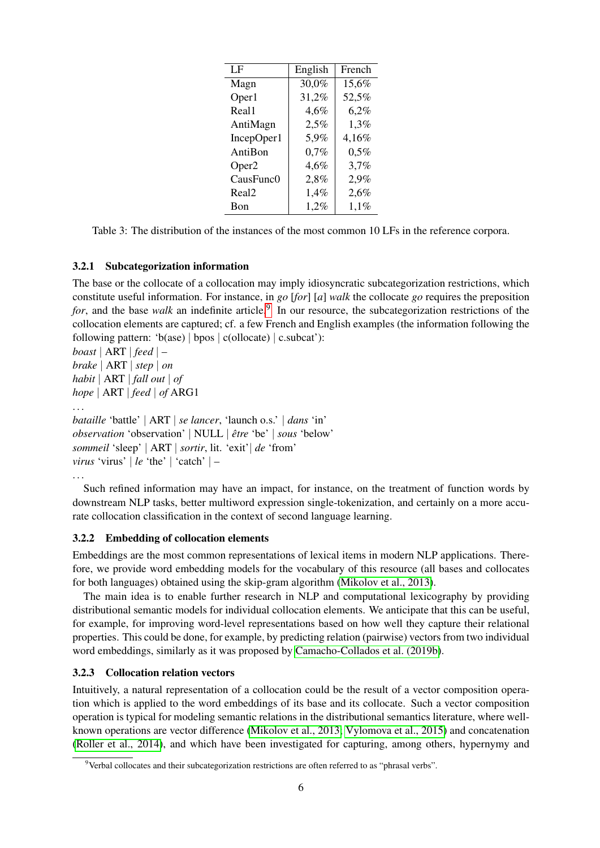<span id="page-5-2"></span>

| LF                | English | French |
|-------------------|---------|--------|
| Magn              | 30,0%   | 15,6%  |
| Oper1             | 31,2%   | 52,5%  |
| Real1             | 4,6%    | 6,2%   |
| AntiMagn          | 2,5%    | 1,3%   |
| IncepOper1        | 5,9%    | 4,16%  |
| AntiBon           | 0,7%    | 0,5%   |
| Oper <sub>2</sub> | 4,6%    | 3,7%   |
| CausFunc0         | 2,8%    | 2,9%   |
| Real <sub>2</sub> | 1,4%    | 2,6%   |
| Bon               | 1,2%    | 1,1%   |

Table 3: The distribution of the instances of the most common 10 LFs in the reference corpora.

## 3.2.1 Subcategorization information

The base or the collocate of a collocation may imply idiosyncratic subcategorization restrictions, which constitute useful information. For instance, in *go* [*for*] [*a*] *walk* the collocate *go* requires the preposition for, and the base walk an indefinite article.<sup>[9](#page-5-3)</sup> In our resource, the subcategorization restrictions of the collocation elements are captured; cf. a few French and English examples (the information following the following pattern: 'b(ase) | bpos  $|c$ (ollocate)  $|c$ .subcat'):

*boast* | ART | *feed* | – *brake* | ART | *step* | *on habit* | ART | *fall out* | *of hope* | ART | *feed* | *of* ARG1 . . . *bataille* 'battle' | ART | *se lancer*, 'launch o.s.' | *dans* 'in' *observation* 'observation' | NULL | *etre ˆ* 'be' | *sous* 'below' *sommeil* 'sleep' | ART | *sortir*, lit. 'exit'| *de* 'from' *virus* 'virus' | *le* 'the' | 'catch' | –

```
. . .
```
Such refined information may have an impact, for instance, on the treatment of function words by downstream NLP tasks, better multiword expression single-tokenization, and certainly on a more accurate collocation classification in the context of second language learning.

## <span id="page-5-0"></span>3.2.2 Embedding of collocation elements

Embeddings are the most common representations of lexical items in modern NLP applications. Therefore, we provide word embedding models for the vocabulary of this resource (all bases and collocates for both languages) obtained using the skip-gram algorithm [\(Mikolov et al., 2013\)](#page-10-6).

The main idea is to enable further research in NLP and computational lexicography by providing distributional semantic models for individual collocation elements. We anticipate that this can be useful, for example, for improving word-level representations based on how well they capture their relational properties. This could be done, for example, by predicting relation (pairwise) vectors from two individual word embeddings, similarly as it was proposed by [Camacho-Collados et al. \(2019b\)](#page-9-15).

## <span id="page-5-1"></span>3.2.3 Collocation relation vectors

Intuitively, a natural representation of a collocation could be the result of a vector composition operation which is applied to the word embeddings of its base and its collocate. Such a vector composition operation is typical for modeling semantic relations in the distributional semantics literature, where wellknown operations are vector difference [\(Mikolov et al., 2013;](#page-10-6) [Vylomova et al., 2015\)](#page-11-5) and concatenation [\(Roller et al., 2014\)](#page-10-19), and which have been investigated for capturing, among others, hypernymy and

<span id="page-5-3"></span><sup>9</sup>Verbal collocates and their subcategorization restrictions are often referred to as "phrasal verbs".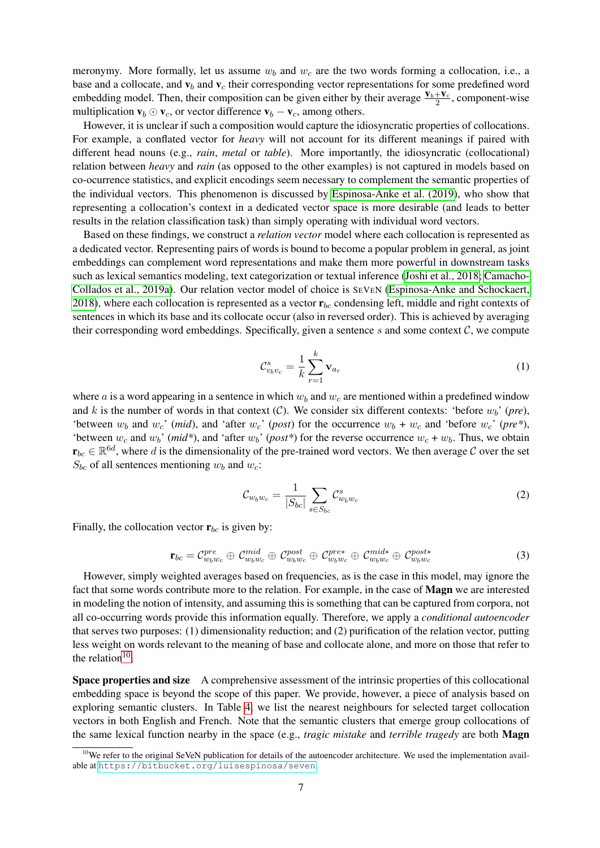meronymy. More formally, let us assume  $w_b$  and  $w_c$  are the two words forming a collocation, i.e., a base and a collocate, and  $v_b$  and  $v_c$  their corresponding vector representations for some predefined word embedding model. Then, their composition can be given either by their average  $\frac{V_b+V_c}{2}$ , component-wise multiplication  $\mathbf{v}_b \odot \mathbf{v}_c$ , or vector difference  $\mathbf{v}_b - \mathbf{v}_c$ , among others.

However, it is unclear if such a composition would capture the idiosyncratic properties of collocations. For example, a conflated vector for *heavy* will not account for its different meanings if paired with different head nouns (e.g., *rain*, *metal* or *table*). More importantly, the idiosyncratic (collocational) relation between *heavy* and *rain* (as opposed to the other examples) is not captured in models based on co-ocurrence statistics, and explicit encodings seem necessary to complement the semantic properties of the individual vectors. This phenomenon is discussed by [Espinosa-Anke et al. \(2019\)](#page-9-4), who show that representing a collocation's context in a dedicated vector space is more desirable (and leads to better results in the relation classification task) than simply operating with individual word vectors.

Based on these findings, we construct a *relation vector* model where each collocation is represented as a dedicated vector. Representing pairs of words is bound to become a popular problem in general, as joint embeddings can complement word representations and make them more powerful in downstream tasks such as lexical semantics modeling, text categorization or textual inference [\(Joshi et al., 2018;](#page-9-16) [Camacho-](#page-9-17)[Collados et al., 2019a\)](#page-9-17). Our relation vector model of choice is SEVEN [\(Espinosa-Anke and Schockaert,](#page-9-18) [2018\)](#page-9-18), where each collocation is represented as a vector  $\mathbf{r}_{bc}$  condensing left, middle and right contexts of sentences in which its base and its collocate occur (also in reversed order). This is achieved by averaging their corresponding word embeddings. Specifically, given a sentence s and some context  $\mathcal{C}$ , we compute

$$
\mathcal{C}_{v_b v_c}^s = \frac{1}{k} \sum_{r=1}^k \mathbf{v}_{a_r} \tag{1}
$$

where a is a word appearing in a sentence in which  $w_b$  and  $w_c$  are mentioned within a predefined window and k is the number of words in that context  $(C)$ . We consider six different contexts: 'before  $w_b$ ' (*pre*), 'between  $w_b$  and  $w_c$ ' (*mid*), and 'after  $w_c$ ' (*post*) for the occurrence  $w_b + w_c$  and 'before  $w_c$ ' (*pre*\*), 'between  $w_c$  and  $w_b'$  (*mid\**), and 'after  $w_b'$  (*post\**) for the reverse occurrence  $w_c + w_b$ . Thus, we obtain  $\mathbf{r}_{bc} \in \mathbb{R}^{6d}$ , where d is the dimensionality of the pre-trained word vectors. We then average C over the set  $S_{bc}$  of all sentences mentioning  $w_b$  and  $w_c$ :

$$
\mathcal{C}_{w_b w_c} = \frac{1}{|S_{bc}|} \sum_{s \in S_{bc}} \mathcal{C}_{w_b w_c}^s \tag{2}
$$

Finally, the collocation vector  $\mathbf{r}_{bc}$  is given by:

$$
\mathbf{r}_{bc} = \mathcal{C}_{w_b w_c}^{pre} \oplus \mathcal{C}_{w_b w_c}^{mid} \oplus \mathcal{C}_{w_b w_c}^{post} \oplus \mathcal{C}_{w_b w_c}^{pre*} \oplus \mathcal{C}_{w_b w_c}^{mid*} \oplus \mathcal{C}_{w_b w_c}^{post*}
$$
(3)

However, simply weighted averages based on frequencies, as is the case in this model, may ignore the fact that some words contribute more to the relation. For example, in the case of Magn we are interested in modeling the notion of intensity, and assuming this is something that can be captured from corpora, not all co-occurring words provide this information equally. Therefore, we apply a *conditional autoencoder* that serves two purposes: (1) dimensionality reduction; and (2) purification of the relation vector, putting less weight on words relevant to the meaning of base and collocate alone, and more on those that refer to the relation $10$ .

Space properties and size A comprehensive assessment of the intrinsic properties of this collocational embedding space is beyond the scope of this paper. We provide, however, a piece of analysis based on exploring semantic clusters. In Table [4,](#page-7-0) we list the nearest neighbours for selected target collocation vectors in both English and French. Note that the semantic clusters that emerge group collocations of the same lexical function nearby in the space (e.g., *tragic mistake* and *terrible tragedy* are both Magn

<span id="page-6-0"></span> $10$ We refer to the original SeVeN publication for details of the autoencoder architecture. We used the implementation available at <https://bitbucket.org/luisespinosa/seven>.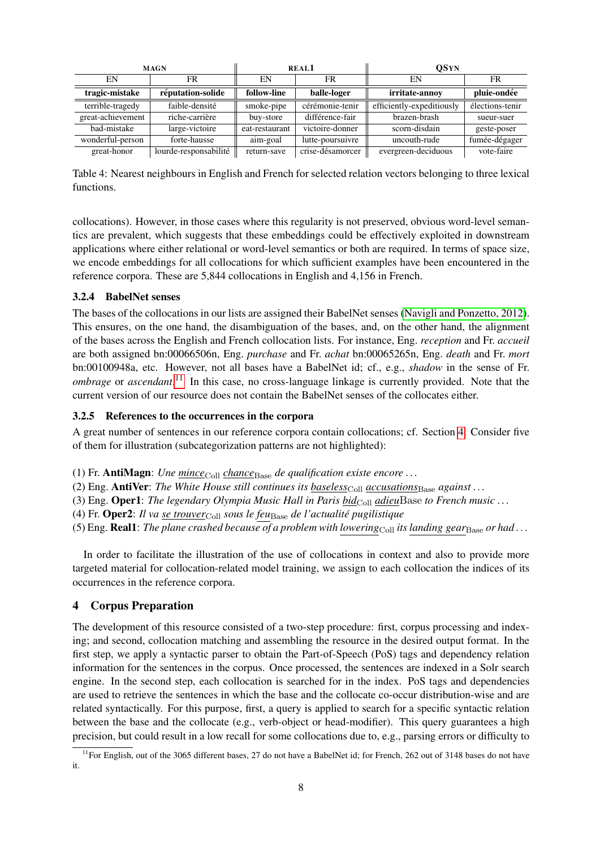<span id="page-7-0"></span>

|                   | <b>MAGN</b>           |                | REAL <sub>1</sub> | <b>OSYN</b>               |                 |  |
|-------------------|-----------------------|----------------|-------------------|---------------------------|-----------------|--|
| EN                | FR                    |                | FR                | EN                        | FR              |  |
| tragic-mistake    | réputation-solide     | follow-line    | balle-loger       | irritate-annov            | pluie-ondée     |  |
| terrible-tragedy  | faible-densité        | smoke-pipe     | cérémonie-tenir   | efficiently-expeditiously | élections-tenir |  |
| great-achievement | riche-carrière        | buy-store      | différence-fair   | brazen-brash              | sueur-suer      |  |
| bad-mistake       | large-victoire        | eat-restaurant | victoire-donner   | scorn-disdain             | geste-poser     |  |
| wonderful-person  | forte-hausse          | aim-goal       | lutte-poursuivre  | uncouth-rude              | fumée-dégager   |  |
| great-honor       | lourde-responsabilité | return-save    | crise-désamorcer  | evergreen-deciduous       | vote-faire      |  |

Table 4: Nearest neighbours in English and French for selected relation vectors belonging to three lexical functions.

collocations). However, in those cases where this regularity is not preserved, obvious word-level semantics are prevalent, which suggests that these embeddings could be effectively exploited in downstream applications where either relational or word-level semantics or both are required. In terms of space size, we encode embeddings for all collocations for which sufficient examples have been encountered in the reference corpora. These are 5,844 collocations in English and 4,156 in French.

## 3.2.4 BabelNet senses

The bases of the collocations in our lists are assigned their BabelNet senses [\(Navigli and Ponzetto, 2012\)](#page-10-7). This ensures, on the one hand, the disambiguation of the bases, and, on the other hand, the alignment of the bases across the English and French collocation lists. For instance, Eng. *reception* and Fr. *accueil* are both assigned bn:00066506n, Eng. *purchase* and Fr. *achat* bn:00065265n, Eng. *death* and Fr. *mort* bn:00100948a, etc. However, not all bases have a BabelNet id; cf., e.g., *shadow* in the sense of Fr. *ombrage* or *ascendant*.<sup>[11](#page-7-1)</sup> In this case, no cross-language linkage is currently provided. Note that the current version of our resource does not contain the BabelNet senses of the collocates either.

## 3.2.5 References to the occurrences in the corpora

A great number of sentences in our reference corpora contain collocations; cf. Section [4.](#page-7-2) Consider five of them for illustration (subcategorization patterns are not highlighted):

- (1) Fr. **AntiMagn**: *Une mince*<sub>Coll</sub> *chance*<sub>Base</sub> *de qualification existe encore* ...
- (2) Eng. **AntiVer**: *The White House still continues its baseless*<sub>Coll</sub> *accusations*<sub>Base</sub> *against* . . .
- (3) Eng. Oper1: *The legendary Olympia Music Hall in Paris bid*Coll *adieu*Base *to French music* ...
- (4) Fr. Oper2: *Il va se trouver*Coll *sous le feu*Base *de l'actualite pugilistique ´*
- (5) Eng. **Real1**: *The plane crashed because of a problem with lowering*<sub>Coll</sub> *its landing gear*<sub>Base</sub> *or had...*

In order to facilitate the illustration of the use of collocations in context and also to provide more targeted material for collocation-related model training, we assign to each collocation the indices of its occurrences in the reference corpora.

## <span id="page-7-2"></span>4 Corpus Preparation

The development of this resource consisted of a two-step procedure: first, corpus processing and indexing; and second, collocation matching and assembling the resource in the desired output format. In the first step, we apply a syntactic parser to obtain the Part-of-Speech (PoS) tags and dependency relation information for the sentences in the corpus. Once processed, the sentences are indexed in a Solr search engine. In the second step, each collocation is searched for in the index. PoS tags and dependencies are used to retrieve the sentences in which the base and the collocate co-occur distribution-wise and are related syntactically. For this purpose, first, a query is applied to search for a specific syntactic relation between the base and the collocate (e.g., verb-object or head-modifier). This query guarantees a high precision, but could result in a low recall for some collocations due to, e.g., parsing errors or difficulty to

<span id="page-7-1"></span> $11$  For English, out of the 3065 different bases, 27 do not have a BabelNet id; for French, 262 out of 3148 bases do not have it.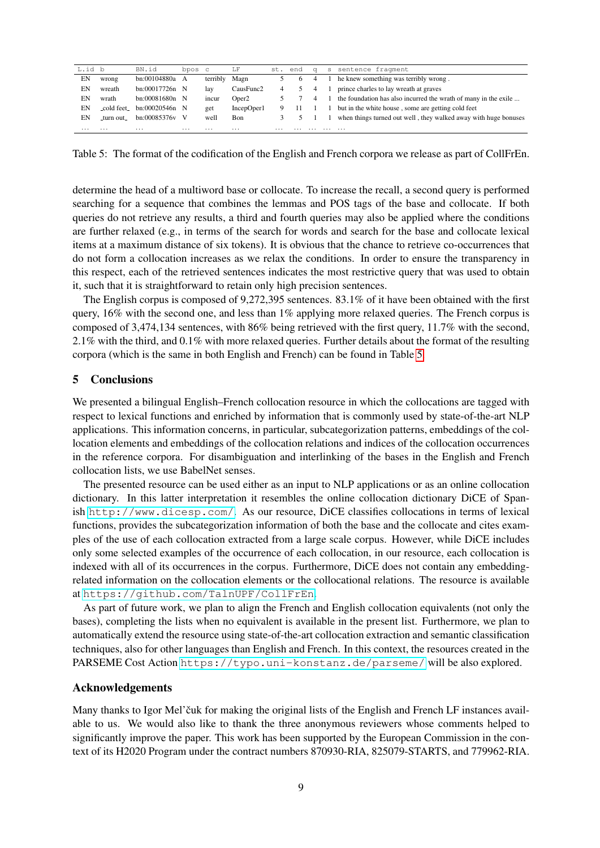<span id="page-8-1"></span>

| L.id b |            | BN.id                                                | bpos c |               | LF         |   | st. end | $\alpha$       |   | s sentence fragment                                             |
|--------|------------|------------------------------------------------------|--------|---------------|------------|---|---------|----------------|---|-----------------------------------------------------------------|
| EN     | wrong      | bn:00104880a A                                       |        | terribly Magn |            |   | $\circ$ | $\overline{4}$ |   | he knew something was terribly wrong.                           |
| EN     | wreath     | bn:00017726n N                                       |        | lay           | CausFunc2  | 4 |         | $\overline{4}$ |   | prince charles to lay wreath at graves                          |
| EΝ     | wrath      | $bn:00081680n$ N                                     |        | incur         | Oper2      |   |         | $\overline{4}$ |   | the foundation has also incurred the wrath of many in the exile |
| EΝ     |            | $_{\rm \sim}$ cold feet $_{\rm \sim}$ bn:00020546n N |        | get           | IncepOper1 | 9 |         | $11 \quad 1$   |   | but in the white house, some are getting cold feet              |
| EN     | _turn out_ | bn:00085376y V                                       |        | well          | Bon        |   |         |                |   | when things turned out well, they walked away with huge bonuses |
| .      | .          | .                                                    | .      | .             | .          | . |         |                | . | .                                                               |

Table 5: The format of the codification of the English and French corpora we release as part of CollFrEn.

determine the head of a multiword base or collocate. To increase the recall, a second query is performed searching for a sequence that combines the lemmas and POS tags of the base and collocate. If both queries do not retrieve any results, a third and fourth queries may also be applied where the conditions are further relaxed (e.g., in terms of the search for words and search for the base and collocate lexical items at a maximum distance of six tokens). It is obvious that the chance to retrieve co-occurrences that do not form a collocation increases as we relax the conditions. In order to ensure the transparency in this respect, each of the retrieved sentences indicates the most restrictive query that was used to obtain it, such that it is straightforward to retain only high precision sentences.

The English corpus is composed of 9,272,395 sentences. 83.1% of it have been obtained with the first query, 16% with the second one, and less than 1% applying more relaxed queries. The French corpus is composed of 3,474,134 sentences, with 86% being retrieved with the first query, 11.7% with the second, 2.1% with the third, and 0.1% with more relaxed queries. Further details about the format of the resulting corpora (which is the same in both English and French) can be found in Table [5.](#page-8-1)

## <span id="page-8-0"></span>5 Conclusions

We presented a bilingual English–French collocation resource in which the collocations are tagged with respect to lexical functions and enriched by information that is commonly used by state-of-the-art NLP applications. This information concerns, in particular, subcategorization patterns, embeddings of the collocation elements and embeddings of the collocation relations and indices of the collocation occurrences in the reference corpora. For disambiguation and interlinking of the bases in the English and French collocation lists, we use BabelNet senses.

The presented resource can be used either as an input to NLP applications or as an online collocation dictionary. In this latter interpretation it resembles the online collocation dictionary DiCE of Spanish <http://www.dicesp.com/>. As our resource, DiCE classifies collocations in terms of lexical functions, provides the subcategorization information of both the base and the collocate and cites examples of the use of each collocation extracted from a large scale corpus. However, while DiCE includes only some selected examples of the occurrence of each collocation, in our resource, each collocation is indexed with all of its occurrences in the corpus. Furthermore, DiCE does not contain any embeddingrelated information on the collocation elements or the collocational relations. The resource is available at <https://github.com/TalnUPF/CollFrEn>.

As part of future work, we plan to align the French and English collocation equivalents (not only the bases), completing the lists when no equivalent is available in the present list. Furthermore, we plan to automatically extend the resource using state-of-the-art collocation extraction and semantic classification techniques, also for other languages than English and French. In this context, the resources created in the PARSEME Cost Action <https://typo.uni-konstanz.de/parseme/> will be also explored.

### Acknowledgements

Many thanks to Igor Mel'čuk for making the original lists of the English and French LF instances available to us. We would also like to thank the three anonymous reviewers whose comments helped to significantly improve the paper. This work has been supported by the European Commission in the context of its H2020 Program under the contract numbers 870930-RIA, 825079-STARTS, and 779962-RIA.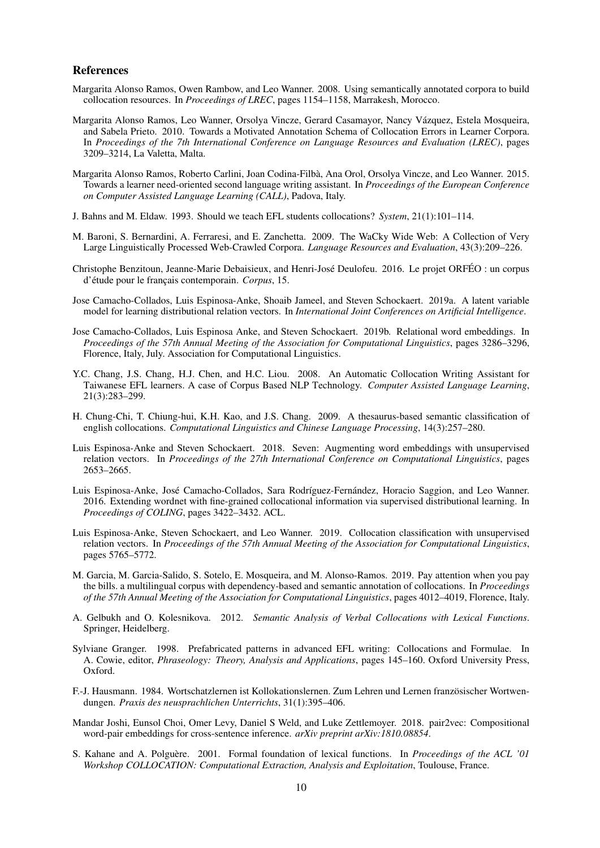#### References

- <span id="page-9-9"></span>Margarita Alonso Ramos, Owen Rambow, and Leo Wanner. 2008. Using semantically annotated corpora to build collocation resources. In *Proceedings of LREC*, pages 1154–1158, Marrakesh, Morocco.
- <span id="page-9-3"></span>Margarita Alonso Ramos, Leo Wanner, Orsolya Vincze, Gerard Casamayor, Nancy Vazquez, Estela Mosqueira, ´ and Sabela Prieto. 2010. Towards a Motivated Annotation Schema of Collocation Errors in Learner Corpora. In *Proceedings of the 7th International Conference on Language Resources and Evaluation (LREC)*, pages 3209–3214, La Valetta, Malta.
- <span id="page-9-10"></span>Margarita Alonso Ramos, Roberto Carlini, Joan Codina-Filba, Ana Orol, Orsolya Vincze, and Leo Wanner. 2015. ` Towards a learner need-oriented second language writing assistant. In *Proceedings of the European Conference on Computer Assisted Language Learning (CALL)*, Padova, Italy.
- <span id="page-9-1"></span>J. Bahns and M. Eldaw. 1993. Should we teach EFL students collocations? *System*, 21(1):101–114.
- <span id="page-9-14"></span>M. Baroni, S. Bernardini, A. Ferraresi, and E. Zanchetta. 2009. The WaCky Wide Web: A Collection of Very Large Linguistically Processed Web-Crawled Corpora. *Language Resources and Evaluation*, 43(3):209–226.
- <span id="page-9-13"></span>Christophe Benzitoun, Jeanne-Marie Debaisieux, and Henri-José Deulofeu. 2016. Le projet ORFÉO : un corpus d'étude pour le français contemporain. Corpus, 15.
- <span id="page-9-17"></span>Jose Camacho-Collados, Luis Espinosa-Anke, Shoaib Jameel, and Steven Schockaert. 2019a. A latent variable model for learning distributional relation vectors. In *International Joint Conferences on Artificial Intelligence*.
- <span id="page-9-15"></span>Jose Camacho-Collados, Luis Espinosa Anke, and Steven Schockaert. 2019b. Relational word embeddings. In *Proceedings of the 57th Annual Meeting of the Association for Computational Linguistics*, pages 3286–3296, Florence, Italy, July. Association for Computational Linguistics.
- <span id="page-9-11"></span>Y.C. Chang, J.S. Chang, H.J. Chen, and H.C. Liou. 2008. An Automatic Collocation Writing Assistant for Taiwanese EFL learners. A case of Corpus Based NLP Technology. *Computer Assisted Language Learning*, 21(3):283–299.
- <span id="page-9-5"></span>H. Chung-Chi, T. Chiung-hui, K.H. Kao, and J.S. Chang. 2009. A thesaurus-based semantic classification of english collocations. *Computational Linguistics and Chinese Language Processing*, 14(3):257–280.
- <span id="page-9-18"></span>Luis Espinosa-Anke and Steven Schockaert. 2018. Seven: Augmenting word embeddings with unsupervised relation vectors. In *Proceedings of the 27th International Conference on Computational Linguistics*, pages 2653–2665.
- <span id="page-9-8"></span>Luis Espinosa-Anke, José Camacho-Collados, Sara Rodríguez-Fernández, Horacio Saggion, and Leo Wanner. 2016. Extending wordnet with fine-grained collocational information via supervised distributional learning. In *Proceedings of COLING*, pages 3422–3432. ACL.
- <span id="page-9-4"></span>Luis Espinosa-Anke, Steven Schockaert, and Leo Wanner. 2019. Collocation classification with unsupervised relation vectors. In *Proceedings of the 57th Annual Meeting of the Association for Computational Linguistics*, pages 5765–5772.
- <span id="page-9-7"></span>M. Garcia, M. Garcia-Salido, S. Sotelo, E. Mosqueira, and M. Alonso-Ramos. 2019. Pay attention when you pay the bills. a multilingual corpus with dependency-based and semantic annotation of collocations. In *Proceedings of the 57th Annual Meeting of the Association for Computational Linguistics*, pages 4012–4019, Florence, Italy.
- <span id="page-9-6"></span>A. Gelbukh and O. Kolesnikova. 2012. *Semantic Analysis of Verbal Collocations with Lexical Functions*. Springer, Heidelberg.
- <span id="page-9-2"></span>Sylviane Granger. 1998. Prefabricated patterns in advanced EFL writing: Collocations and Formulae. In A. Cowie, editor, *Phraseology: Theory, Analysis and Applications*, pages 145–160. Oxford University Press, Oxford.
- <span id="page-9-0"></span>F.-J. Hausmann. 1984. Wortschatzlernen ist Kollokationslernen. Zum Lehren und Lernen französischer Wortwendungen. *Praxis des neusprachlichen Unterrichts*, 31(1):395–406.
- <span id="page-9-16"></span>Mandar Joshi, Eunsol Choi, Omer Levy, Daniel S Weld, and Luke Zettlemoyer. 2018. pair2vec: Compositional word-pair embeddings for cross-sentence inference. *arXiv preprint arXiv:1810.08854*.
- <span id="page-9-12"></span>S. Kahane and A. Polguère. 2001. Formal foundation of lexical functions. In *Proceedings of the ACL '01 Workshop COLLOCATION: Computational Extraction, Analysis and Exploitation*, Toulouse, France.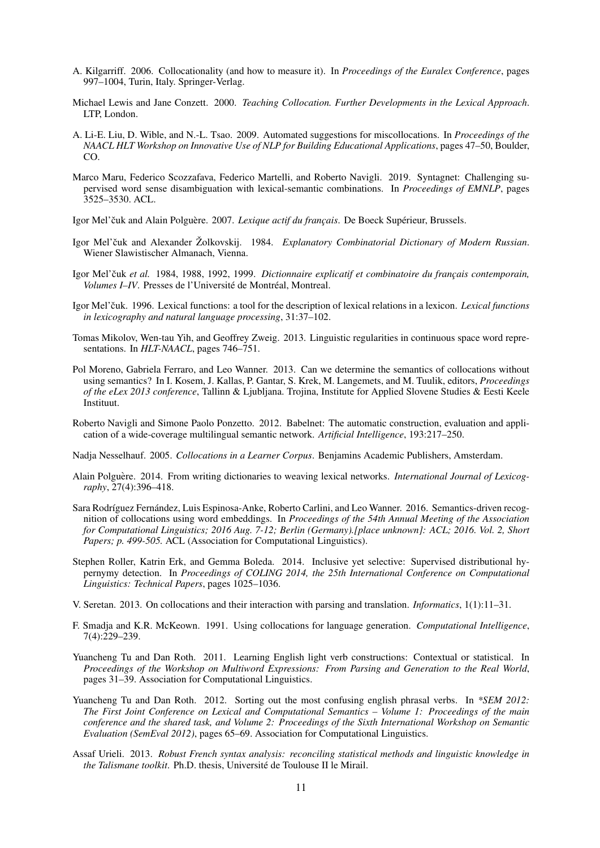- <span id="page-10-9"></span>A. Kilgarriff. 2006. Collocationality (and how to measure it). In *Proceedings of the Euralex Conference*, pages 997–1004, Turin, Italy. Springer-Verlag.
- <span id="page-10-0"></span>Michael Lewis and Jane Conzett. 2000. *Teaching Collocation. Further Developments in the Lexical Approach*. LTP, London.
- <span id="page-10-14"></span>A. Li-E. Liu, D. Wible, and N.-L. Tsao. 2009. Automated suggestions for miscollocations. In *Proceedings of the NAACL HLT Workshop on Innovative Use of NLP for Building Educational Applications*, pages 47–50, Boulder, CO.
- <span id="page-10-2"></span>Marco Maru, Federico Scozzafava, Federico Martelli, and Roberto Navigli. 2019. Syntagnet: Challenging supervised word sense disambiguation with lexical-semantic combinations. In *Proceedings of EMNLP*, pages 3525–3530. ACL.
- <span id="page-10-12"></span>Igor Mel'čuk and Alain Polguère. 2007. *Lexique actif du français*. De Boeck Supérieur, Brussels.
- <span id="page-10-13"></span>Igor Mel'čuk and Alexander Žolkovskij. 1984. Explanatory Combinatorial Dictionary of Modern Russian. Wiener Slawistischer Almanach, Vienna.
- <span id="page-10-11"></span>Igor Mel'čuk et al. 1984, 1988, 1992, 1999. *Dictionnaire explicatif et combinatoire du francais contemporain*, *Volumes I–IV.* Presses de l'Université de Montréal, Montreal.
- <span id="page-10-5"></span>Igor Mel'čuk. 1996. Lexical functions: a tool for the description of lexical relations in a lexicon. *Lexical functions in lexicography and natural language processing*, 31:37–102.
- <span id="page-10-6"></span>Tomas Mikolov, Wen-tau Yih, and Geoffrey Zweig. 2013. Linguistic regularities in continuous space word representations. In *HLT-NAACL*, pages 746–751.
- <span id="page-10-10"></span>Pol Moreno, Gabriela Ferraro, and Leo Wanner. 2013. Can we determine the semantics of collocations without using semantics? In I. Kosem, J. Kallas, P. Gantar, S. Krek, M. Langemets, and M. Tuulik, editors, *Proceedings of the eLex 2013 conference*, Tallinn & Ljubljana. Trojina, Institute for Applied Slovene Studies & Eesti Keele Instituut.
- <span id="page-10-7"></span>Roberto Navigli and Simone Paolo Ponzetto. 2012. Babelnet: The automatic construction, evaluation and application of a wide-coverage multilingual semantic network. *Artificial Intelligence*, 193:217–250.

<span id="page-10-1"></span>Nadja Nesselhauf. 2005. *Collocations in a Learner Corpus*. Benjamins Academic Publishers, Amsterdam.

- <span id="page-10-8"></span>Alain Polguère. 2014. From writing dictionaries to weaving lexical networks. *International Journal of Lexicography*, 27(4):396–418.
- <span id="page-10-17"></span>Sara Rodríguez Fernández, Luis Espinosa-Anke, Roberto Carlini, and Leo Wanner. 2016. Semantics-driven recognition of collocations using word embeddings. In *Proceedings of the 54th Annual Meeting of the Association for Computational Linguistics; 2016 Aug. 7-12; Berlin (Germany).[place unknown]: ACL; 2016. Vol. 2, Short Papers; p. 499-505.* ACL (Association for Computational Linguistics).
- <span id="page-10-19"></span>Stephen Roller, Katrin Erk, and Gemma Boleda. 2014. Inclusive yet selective: Supervised distributional hypernymy detection. In *Proceedings of COLING 2014, the 25th International Conference on Computational Linguistics: Technical Papers*, pages 1025–1036.
- <span id="page-10-3"></span>V. Seretan. 2013. On collocations and their interaction with parsing and translation. *Informatics*, 1(1):11–31.
- <span id="page-10-4"></span>F. Smadja and K.R. McKeown. 1991. Using collocations for language generation. *Computational Intelligence*, 7(4):229–239.
- <span id="page-10-16"></span>Yuancheng Tu and Dan Roth. 2011. Learning English light verb constructions: Contextual or statistical. In *Proceedings of the Workshop on Multiword Expressions: From Parsing and Generation to the Real World*, pages 31–39. Association for Computational Linguistics.
- <span id="page-10-15"></span>Yuancheng Tu and Dan Roth. 2012. Sorting out the most confusing english phrasal verbs. In *\*SEM 2012: The First Joint Conference on Lexical and Computational Semantics – Volume 1: Proceedings of the main conference and the shared task, and Volume 2: Proceedings of the Sixth International Workshop on Semantic Evaluation (SemEval 2012)*, pages 65–69. Association for Computational Linguistics.
- <span id="page-10-18"></span>Assaf Urieli. 2013. *Robust French syntax analysis: reconciling statistical methods and linguistic knowledge in the Talismane toolkit.* Ph.D. thesis, Université de Toulouse II le Mirail.